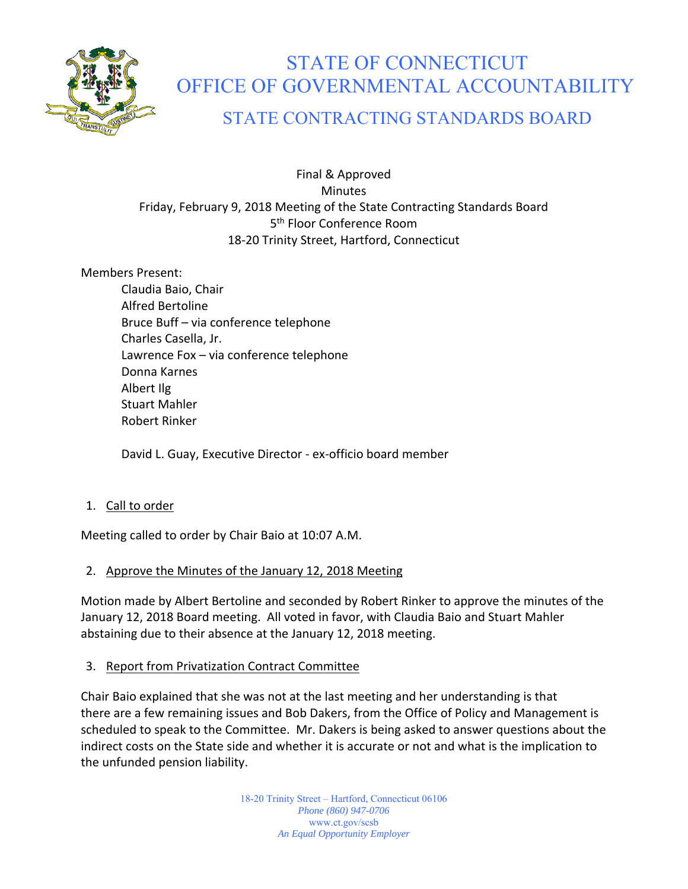

# STATE OF CONNECTICUT OFFICE OF GOVERNMENTAL ACCOUNTABILITY

# STATE CONTRACTING STANDARDS BOARD

# Final & Approved Minutes Friday, February 9, 2018 Meeting of the State Contracting Standards Board 5<sup>th</sup> Floor Conference Room 18‐20 Trinity Street, Hartford, Connecticut

# Members Present:

Claudia Baio, Chair Alfred Bertoline Bruce Buff – via conference telephone Charles Casella, Jr. Lawrence Fox – via conference telephone Donna Karnes Albert Ilg Stuart Mahler Robert Rinker

David L. Guay, Executive Director ‐ ex‐officio board member

# 1. Call to order

Meeting called to order by Chair Baio at 10:07 A.M.

# 2. Approve the Minutes of the January 12, 2018 Meeting

Motion made by Albert Bertoline and seconded by Robert Rinker to approve the minutes of the January 12, 2018 Board meeting. All voted in favor, with Claudia Baio and Stuart Mahler abstaining due to their absence at the January 12, 2018 meeting.

# 3. Report from Privatization Contract Committee

Chair Baio explained that she was not at the last meeting and her understanding is that there are a few remaining issues and Bob Dakers, from the Office of Policy and Management is scheduled to speak to the Committee. Mr. Dakers is being asked to answer questions about the indirect costs on the State side and whether it is accurate or not and what is the implication to the unfunded pension liability.

> 18-20 Trinity Street – Hartford, Connecticut 06106 *Phone (860) 947-0706*  www.ct.gov/scsb *An Equal Opportunity Employer*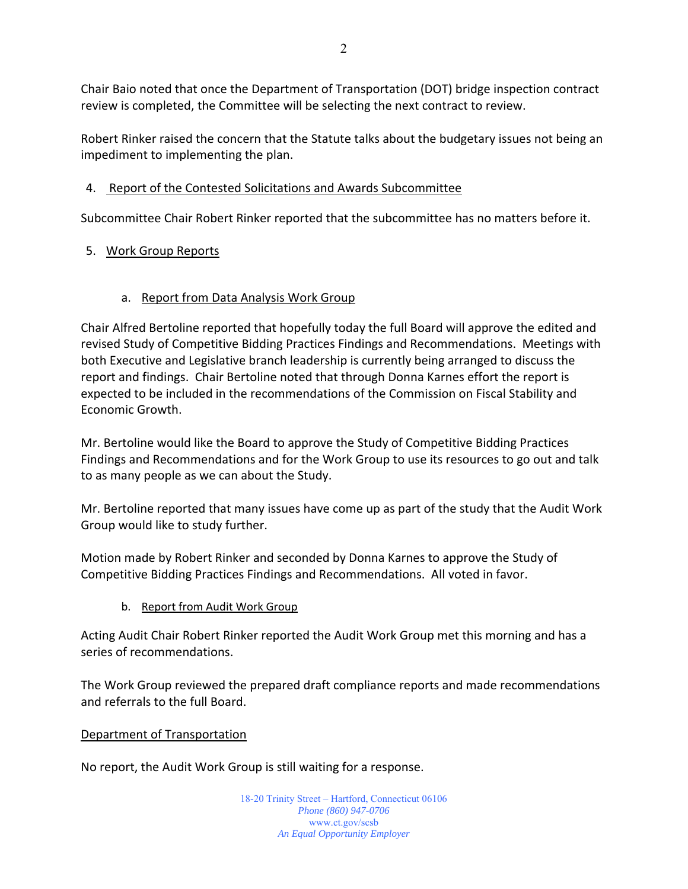Chair Baio noted that once the Department of Transportation (DOT) bridge inspection contract review is completed, the Committee will be selecting the next contract to review.

Robert Rinker raised the concern that the Statute talks about the budgetary issues not being an impediment to implementing the plan.

# 4. Report of the Contested Solicitations and Awards Subcommittee

Subcommittee Chair Robert Rinker reported that the subcommittee has no matters before it.

# 5. Work Group Reports

# a. Report from Data Analysis Work Group

Chair Alfred Bertoline reported that hopefully today the full Board will approve the edited and revised Study of Competitive Bidding Practices Findings and Recommendations. Meetings with both Executive and Legislative branch leadership is currently being arranged to discuss the report and findings. Chair Bertoline noted that through Donna Karnes effort the report is expected to be included in the recommendations of the Commission on Fiscal Stability and Economic Growth.

Mr. Bertoline would like the Board to approve the Study of Competitive Bidding Practices Findings and Recommendations and for the Work Group to use its resources to go out and talk to as many people as we can about the Study.

Mr. Bertoline reported that many issues have come up as part of the study that the Audit Work Group would like to study further.

Motion made by Robert Rinker and seconded by Donna Karnes to approve the Study of Competitive Bidding Practices Findings and Recommendations. All voted in favor.

b. Report from Audit Work Group

Acting Audit Chair Robert Rinker reported the Audit Work Group met this morning and has a series of recommendations.

The Work Group reviewed the prepared draft compliance reports and made recommendations and referrals to the full Board.

# Department of Transportation

No report, the Audit Work Group is still waiting for a response.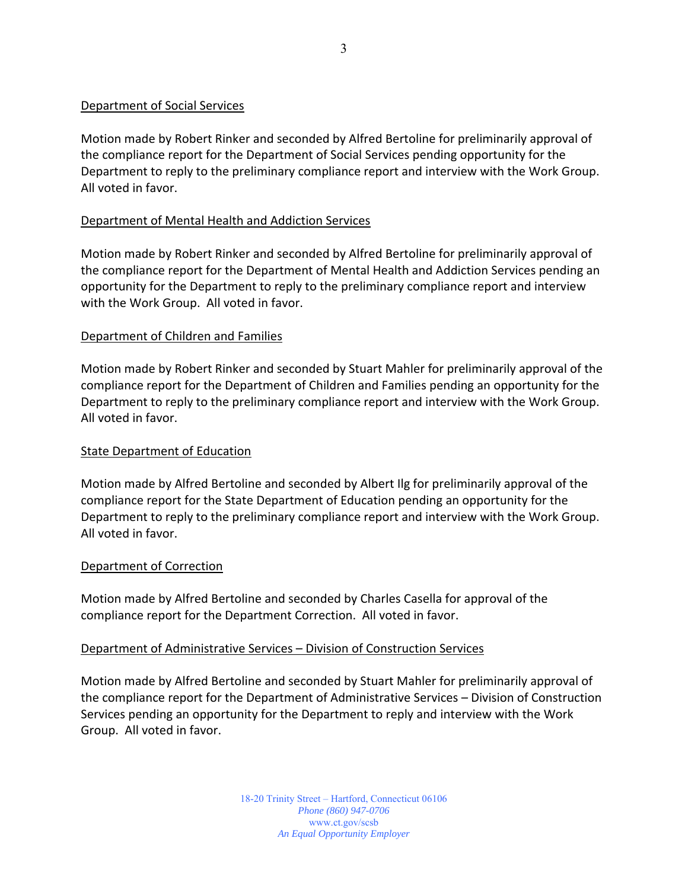#### Department of Social Services

Motion made by Robert Rinker and seconded by Alfred Bertoline for preliminarily approval of the compliance report for the Department of Social Services pending opportunity for the Department to reply to the preliminary compliance report and interview with the Work Group. All voted in favor.

#### Department of Mental Health and Addiction Services

Motion made by Robert Rinker and seconded by Alfred Bertoline for preliminarily approval of the compliance report for the Department of Mental Health and Addiction Services pending an opportunity for the Department to reply to the preliminary compliance report and interview with the Work Group. All voted in favor.

#### Department of Children and Families

Motion made by Robert Rinker and seconded by Stuart Mahler for preliminarily approval of the compliance report for the Department of Children and Families pending an opportunity for the Department to reply to the preliminary compliance report and interview with the Work Group. All voted in favor.

#### State Department of Education

Motion made by Alfred Bertoline and seconded by Albert Ilg for preliminarily approval of the compliance report for the State Department of Education pending an opportunity for the Department to reply to the preliminary compliance report and interview with the Work Group. All voted in favor.

#### Department of Correction

Motion made by Alfred Bertoline and seconded by Charles Casella for approval of the compliance report for the Department Correction. All voted in favor.

#### Department of Administrative Services – Division of Construction Services

Motion made by Alfred Bertoline and seconded by Stuart Mahler for preliminarily approval of the compliance report for the Department of Administrative Services – Division of Construction Services pending an opportunity for the Department to reply and interview with the Work Group. All voted in favor.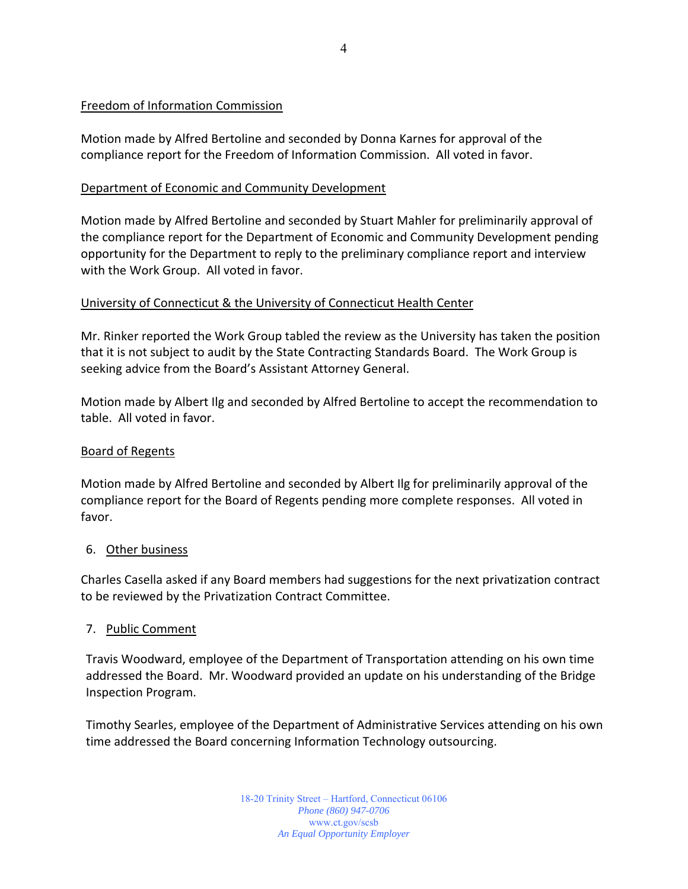# Freedom of Information Commission

Motion made by Alfred Bertoline and seconded by Donna Karnes for approval of the compliance report for the Freedom of Information Commission. All voted in favor.

#### Department of Economic and Community Development

Motion made by Alfred Bertoline and seconded by Stuart Mahler for preliminarily approval of the compliance report for the Department of Economic and Community Development pending opportunity for the Department to reply to the preliminary compliance report and interview with the Work Group. All voted in favor.

#### University of Connecticut & the University of Connecticut Health Center

Mr. Rinker reported the Work Group tabled the review as the University has taken the position that it is not subject to audit by the State Contracting Standards Board. The Work Group is seeking advice from the Board's Assistant Attorney General.

Motion made by Albert Ilg and seconded by Alfred Bertoline to accept the recommendation to table. All voted in favor.

#### Board of Regents

Motion made by Alfred Bertoline and seconded by Albert Ilg for preliminarily approval of the compliance report for the Board of Regents pending more complete responses. All voted in favor.

#### 6. Other business

Charles Casella asked if any Board members had suggestions for the next privatization contract to be reviewed by the Privatization Contract Committee.

# 7. Public Comment

Travis Woodward, employee of the Department of Transportation attending on his own time addressed the Board. Mr. Woodward provided an update on his understanding of the Bridge Inspection Program.

Timothy Searles, employee of the Department of Administrative Services attending on his own time addressed the Board concerning Information Technology outsourcing.